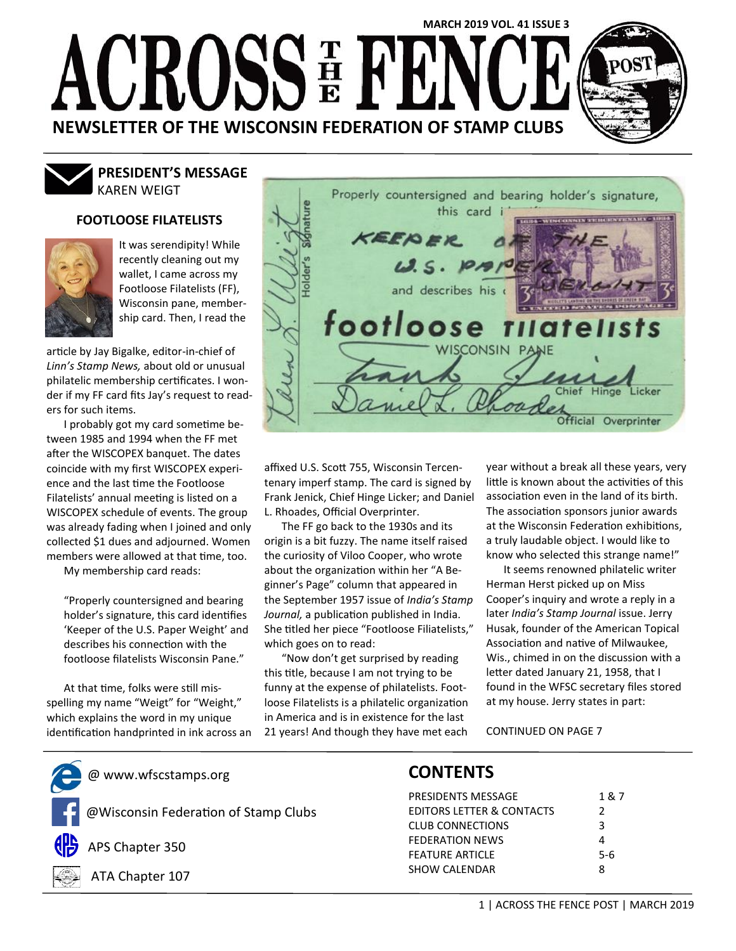# **MARCH 2019 VOL. 41 ISSUE 3**  $\left\{ \begin{smallmatrix} 1 \ 1 \ 1 \end{smallmatrix} \right\}$  $\sqrt{2\pi}$ **NEWSLETTER OF THE WISCONSIN FEDERATION OF STAMP CLUBS**

### KAREN WEIGT **PRESIDENT'S MESSAGE**

### **FOOTLOOSE FILATELISTS**



It was serendipity! While recently cleaning out my wallet, I came across my Footloose Filatelists (FF), Wisconsin pane, membership card. Then, I read the

article by Jay Bigalke, editor-in-chief of *Linn's Stamp News,* about old or unusual philatelic membership certificates. I wonder if my FF card fits Jay's request to readers for such items.

I probably got my card sometime between 1985 and 1994 when the FF met after the WISCOPEX banquet. The dates coincide with my first WISCOPEX experience and the last time the Footloose Filatelists' annual meeting is listed on a WISCOPEX schedule of events. The group was already fading when I joined and only collected \$1 dues and adjourned. Women members were allowed at that time, too.

My membership card reads:

"Properly countersigned and bearing holder's signature, this card identifies 'Keeper of the U.S. Paper Weight' and describes his connection with the footloose filatelists Wisconsin Pane."

At that time, folks were still misspelling my name "Weigt" for "Weight," which explains the word in my unique identification handprinted in ink across an



affixed U.S. Scott 755, Wisconsin Tercentenary imperf stamp. The card is signed by Frank Jenick, Chief Hinge Licker; and Daniel L. Rhoades, Official Overprinter.

The FF go back to the 1930s and its origin is a bit fuzzy. The name itself raised the curiosity of Viloo Cooper, who wrote about the organization within her "A Beginner's Page" column that appeared in the September 1957 issue of *India's Stamp Journal,* a publication published in India. She titled her piece "Footloose Filiatelists," which goes on to read:

"Now don't get surprised by reading this title, because I am not trying to be funny at the expense of philatelists. Footloose Filatelists is a philatelic organization in America and is in existence for the last 21 years! And though they have met each year without a break all these years, very little is known about the activities of this association even in the land of its birth. The association sponsors junior awards at the Wisconsin Federation exhibitions, a truly laudable object. I would like to know who selected this strange name!"

It seems renowned philatelic writer Herman Herst picked up on Miss Cooper's inquiry and wrote a reply in a later *India's Stamp Journal* issue. Jerry Husak, founder of the American Topical Association and native of Milwaukee, Wis., chimed in on the discussion with a letter dated January 21, 1958, that I found in the WFSC secretary files stored at my house. Jerry states in part:

CONTINUED ON PAGE 7

@ www.wfscstamps.org

@Wisconsin Federation of Stamp Clubs



APS Chapter 350



ATA Chapter 107

### **CONTENTS**

| PRESIDENTS MESSAGE                   | 1 & 7         |
|--------------------------------------|---------------|
| <b>EDITORS LETTER &amp; CONTACTS</b> | $\mathcal{P}$ |
| <b>CLUB CONNECTIONS</b>              | ર             |
| <b>FEDERATION NEWS</b>               | Δ             |
| <b>FEATURE ARTICLE</b>               | $5-6$         |
| <b>SHOW CALENDAR</b>                 | R             |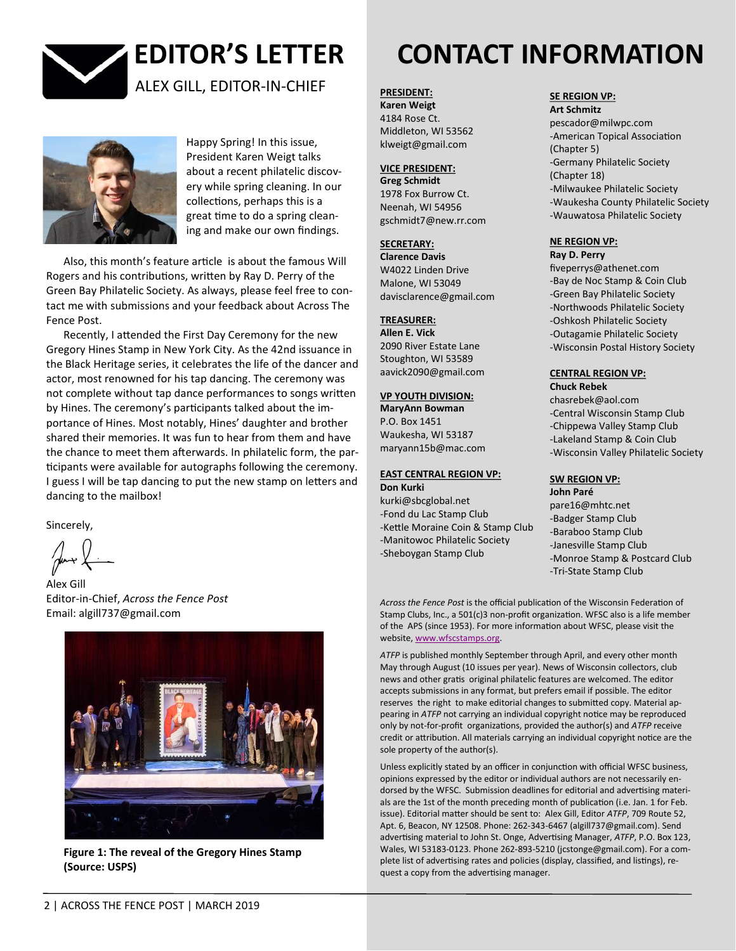



Happy Spring! In this issue, President Karen Weigt talks about a recent philatelic discovery while spring cleaning. In our collections, perhaps this is a great time to do a spring cleaning and make our own findings.

Also, this month's feature article is about the famous Will Rogers and his contributions, written by Ray D. Perry of the Green Bay Philatelic Society. As always, please feel free to contact me with submissions and your feedback about Across The Fence Post.

Recently, I attended the First Day Ceremony for the new Gregory Hines Stamp in New York City. As the 42nd issuance in the Black Heritage series, it celebrates the life of the dancer and actor, most renowned for his tap dancing. The ceremony was not complete without tap dance performances to songs written by Hines. The ceremony's participants talked about the importance of Hines. Most notably, Hines' daughter and brother shared their memories. It was fun to hear from them and have the chance to meet them afterwards. In philatelic form, the participants were available for autographs following the ceremony. I guess I will be tap dancing to put the new stamp on letters and dancing to the mailbox!

Sincerely,

Alex Gill Editor-in-Chief, *Across the Fence Post* Email: algill737@gmail.com



**Figure 1: The reveal of the Gregory Hines Stamp (Source: USPS)**

# **EDITOR'S LETTER CONTACT INFORMATION**

**PRESIDENT:**

**Karen Weigt**  4184 Rose Ct. Middleton, WI 53562 klweigt@gmail.com

### **VICE PRESIDENT:**

**Greg Schmidt** 1978 Fox Burrow Ct. Neenah, WI 54956 gschmidt7@new.rr.com

### **SECRETARY:**

**Clarence Davis** W4022 Linden Drive Malone, WI 53049 davisclarence@gmail.com

### **TREASURER:**

**Allen E. Vick**  2090 River Estate Lane Stoughton, WI 53589 aavick2090@gmail.com

### **VP YOUTH DIVISION:**

**MaryAnn Bowman**  P.O. Box 1451 Waukesha, WI 53187 maryann15b@mac.com

#### **EAST CENTRAL REGION VP: Don Kurki**

kurki@sbcglobal.net -Fond du Lac Stamp Club -Kettle Moraine Coin & Stamp Club -Manitowoc Philatelic Society -Sheboygan Stamp Club

### **SE REGION VP:**

**Art Schmitz**  pescador@milwpc.com -American Topical Association (Chapter 5) -Germany Philatelic Society (Chapter 18) -Milwaukee Philatelic Society -Waukesha County Philatelic Society -Wauwatosa Philatelic Society

### **NE REGION VP: Ray D. Perry**

fiveperrys@athenet.com -Bay de Noc Stamp & Coin Club -Green Bay Philatelic Society -Northwoods Philatelic Society -Oshkosh Philatelic Society -Outagamie Philatelic Society -Wisconsin Postal History Society

#### **CENTRAL REGION VP: Chuck Rebek**

chasrebek@aol.com -Central Wisconsin Stamp Club -Chippewa Valley Stamp Club -Lakeland Stamp & Coin Club -Wisconsin Valley Philatelic Society

### **SW REGION VP:**

**John Paré**  pare16@mhtc.net -Badger Stamp Club -Baraboo Stamp Club -Janesville Stamp Club -Monroe Stamp & Postcard Club -Tri-State Stamp Club

*Across the Fence Post* is the official publication of the Wisconsin Federation of Stamp Clubs, Inc., a 501(c)3 non-profit organization. WFSC also is a life member of the APS (since 1953). For more information about WFSC, please visit the website, [www.wfscstamps.org.](http://www.wfscstamps.org)

*ATFP* is published monthly September through April, and every other month May through August (10 issues per year). News of Wisconsin collectors, club news and other gratis original philatelic features are welcomed. The editor accepts submissions in any format, but prefers email if possible. The editor reserves the right to make editorial changes to submitted copy. Material appearing in *ATFP* not carrying an individual copyright notice may be reproduced only by not-for-profit organizations, provided the author(s) and *ATFP* receive credit or attribution. All materials carrying an individual copyright notice are the sole property of the author(s).

Unless explicitly stated by an officer in conjunction with official WFSC business, opinions expressed by the editor or individual authors are not necessarily endorsed by the WFSC. Submission deadlines for editorial and advertising materials are the 1st of the month preceding month of publication (i.e. Jan. 1 for Feb. issue). Editorial matter should be sent to: Alex Gill, Editor *ATFP*, 709 Route 52, Apt. 6, Beacon, NY 12508. Phone: 262-343-6467 (algill737@gmail.com). Send advertising material to John St. Onge, Advertising Manager, *ATFP*, P.O. Box 123, Wales, WI 53183-0123. Phone 262-893-5210 (jcstonge@gmail.com). For a complete list of advertising rates and policies (display, classified, and listings), request a copy from the advertising manager.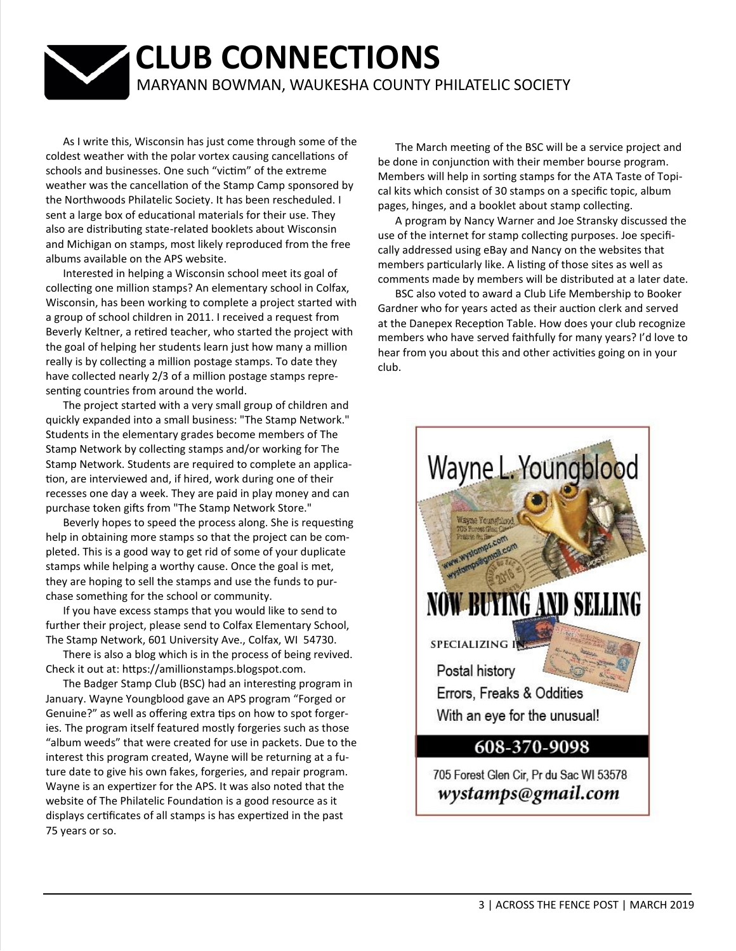## **CLUB CONNECTIONS** MARYANN BOWMAN, WAUKESHA COUNTY PHILATELIC SOCIETY

As I write this, Wisconsin has just come through some of the coldest weather with the polar vortex causing cancellations of schools and businesses. One such "victim" of the extreme weather was the cancellation of the Stamp Camp sponsored by the Northwoods Philatelic Society. It has been rescheduled. I sent a large box of educational materials for their use. They also are distributing state-related booklets about Wisconsin and Michigan on stamps, most likely reproduced from the free albums available on the APS website.

Interested in helping a Wisconsin school meet its goal of collecting one million stamps? An elementary school in Colfax, Wisconsin, has been working to complete a project started with a group of school children in 2011. I received a request from Beverly Keltner, a retired teacher, who started the project with the goal of helping her students learn just how many a million really is by collecting a million postage stamps. To date they have collected nearly 2/3 of a million postage stamps representing countries from around the world.

The project started with a very small group of children and quickly expanded into a small business: "The Stamp Network." Students in the elementary grades become members of The Stamp Network by collecting stamps and/or working for The Stamp Network. Students are required to complete an application, are interviewed and, if hired, work during one of their recesses one day a week. They are paid in play money and can purchase token gifts from "The Stamp Network Store."

Beverly hopes to speed the process along. She is requesting help in obtaining more stamps so that the project can be completed. This is a good way to get rid of some of your duplicate stamps while helping a worthy cause. Once the goal is met, they are hoping to sell the stamps and use the funds to purchase something for the school or community.

If you have excess stamps that you would like to send to further their project, please send to Colfax Elementary School, The Stamp Network, 601 University Ave., Colfax, WI 54730.

There is also a blog which is in the process of being revived. Check it out at: [https://amillionstamps.blogspot.com.](https://amillionstamps.blogspot.com/)

The Badger Stamp Club (BSC) had an interesting program in January. Wayne Youngblood gave an APS program "Forged or Genuine?" as well as offering extra tips on how to spot forgeries. The program itself featured mostly forgeries such as those "album weeds" that were created for use in packets. Due to the interest this program created, Wayne will be returning at a future date to give his own fakes, forgeries, and repair program. Wayne is an expertizer for the APS. It was also noted that the website of The Philatelic Foundation is a good resource as it displays certificates of all stamps is has expertized in the past 75 years or so.

The March meeting of the BSC will be a service project and be done in conjunction with their member bourse program. Members will help in sorting stamps for the ATA Taste of Topical kits which consist of 30 stamps on a specific topic, album pages, hinges, and a booklet about stamp collecting.

A program by Nancy Warner and Joe Stransky discussed the use of the internet for stamp collecting purposes. Joe specifically addressed using eBay and Nancy on the websites that members particularly like. A listing of those sites as well as comments made by members will be distributed at a later date.

BSC also voted to award a Club Life Membership to Booker Gardner who for years acted as their auction clerk and served at the Danepex Reception Table. How does your club recognize members who have served faithfully for many years? I'd love to hear from you about this and other activities going on in your club.

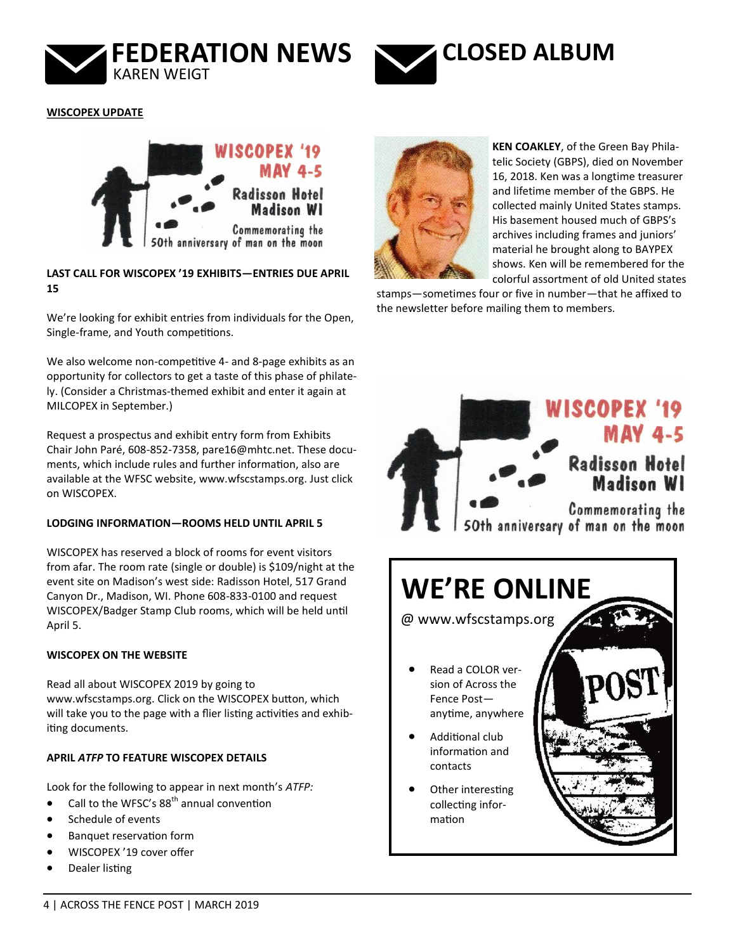



**WISCOPEX UPDATE**



### **LAST CALL FOR WISCOPEX '19 EXHIBITS—ENTRIES DUE APRIL 15**

We're looking for exhibit entries from individuals for the Open, Single-frame, and Youth competitions.

We also welcome non-competitive 4- and 8-page exhibits as an opportunity for collectors to get a taste of this phase of philately. (Consider a Christmas-themed exhibit and enter it again at MILCOPEX in September.)

Request a prospectus and exhibit entry form from Exhibits Chair John Paré, 608-852-7358, [pare16@mhtc.net.](mailto:pare16@mhtc.net) These documents, which include rules and further information, also are available at the WFSC website, [www.wfscstamps.org.](http://www.wfscstamps.org) Just click on WISCOPEX.

### **LODGING INFORMATION—ROOMS HELD UNTIL APRIL 5**

WISCOPEX has reserved a block of rooms for event visitors from afar. The room rate (single or double) is \$109/night at the event site on Madison's west side: Radisson Hotel, 517 Grand Canyon Dr., Madison, WI. Phone 608-833-0100 and request WISCOPEX/Badger Stamp Club rooms, which will be held until April 5.

### **WISCOPEX ON THE WEBSITE**

Read all about WISCOPEX 2019 by going to [www.wfscstamps.org.](http://www.wfscstamps.org) Click on the WISCOPEX button, which will take you to the page with a flier listing activities and exhibiting documents.

### **APRIL** *ATFP* **TO FEATURE WISCOPEX DETAILS**

Look for the following to appear in next month's *ATFP:*

- Call to the WFSC's  $88<sup>th</sup>$  annual convention
- Schedule of events
- Banquet reservation form
- WISCOPEX '19 cover offer
- Dealer listing



**KEN COAKLEY**, of the Green Bay Philatelic Society (GBPS), died on November 16, 2018. Ken was a longtime treasurer and lifetime member of the GBPS. He collected mainly United States stamps. His basement housed much of GBPS's archives including frames and juniors' material he brought along to BAYPEX shows. Ken will be remembered for the colorful assortment of old United states

stamps—sometimes four or five in number—that he affixed to the newsletter before mailing them to members.

### WISCOPEX '19 **MAY 4-5 Radisson Hotel Madison WI Commemorating the** 50th anniversary of man on the moon **WE'RE ONLINE** @ www.wfscstamps.org • Read a COLOR version of Across the Fence Post anytime, anywhere • Additional club information and contacts Other interesting collecting information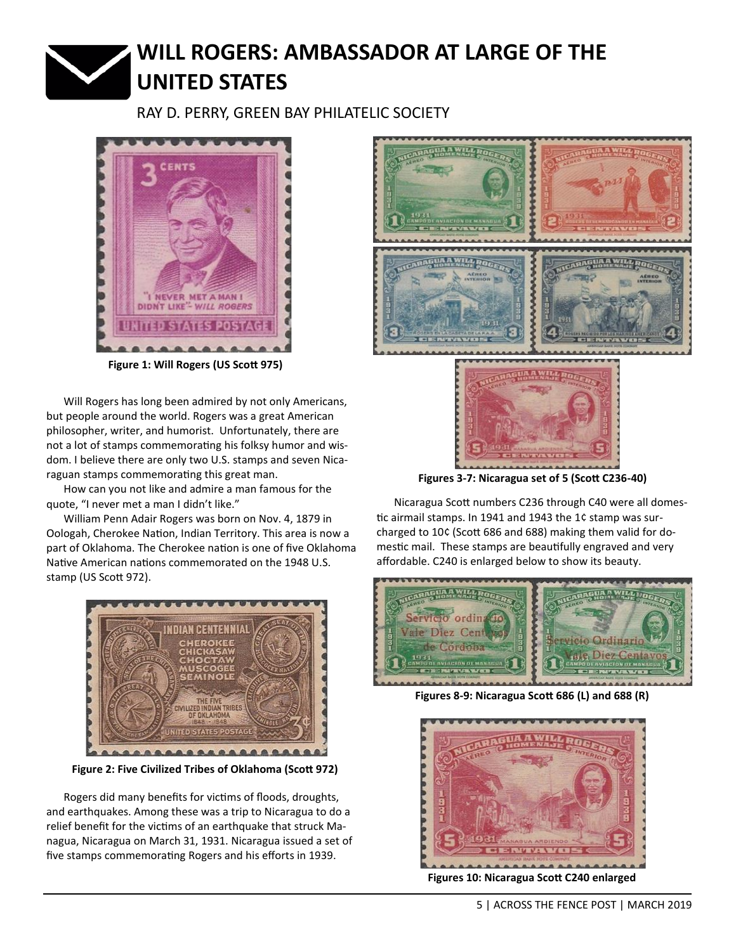# **WILL ROGERS: AMBASSADOR AT LARGE OF THE UNITED STATES**

RAY D. PERRY, GREEN BAY PHILATELIC SOCIETY



**Figure 1: Will Rogers (US Scott 975)**

Will Rogers has long been admired by not only Americans, but people around the world. Rogers was a great American philosopher, writer, and humorist. Unfortunately, there are not a lot of stamps commemorating his folksy humor and wisdom. I believe there are only two U.S. stamps and seven Nicaraguan stamps commemorating this great man.

How can you not like and admire a man famous for the quote, "I never met a man I didn't like."

William Penn Adair Rogers was born on Nov. 4, 1879 in Oologah, Cherokee Nation, Indian Territory. This area is now a part of Oklahoma. The Cherokee nation is one of five Oklahoma Native American nations commemorated on the 1948 U.S. stamp (US Scott 972).



**Figure 2: Five Civilized Tribes of Oklahoma (Scott 972)**

Rogers did many benefits for victims of floods, droughts, and earthquakes. Among these was a trip to Nicaragua to do a relief benefit for the victims of an earthquake that struck Managua, Nicaragua on March 31, 1931. Nicaragua issued a set of five stamps commemorating Rogers and his efforts in 1939.



**Figures 3-7: Nicaragua set of 5 (Scott C236-40)**

Nicaragua Scott numbers C236 through C40 were all domestic airmail stamps. In 1941 and 1943 the 1¢ stamp was surcharged to 10¢ (Scott 686 and 688) making them valid for domestic mail. These stamps are beautifully engraved and very affordable. C240 is enlarged below to show its beauty.



**Figures 8-9: Nicaragua Scott 686 (L) and 688 (R)**



**Figures 10: Nicaragua Scott C240 enlarged**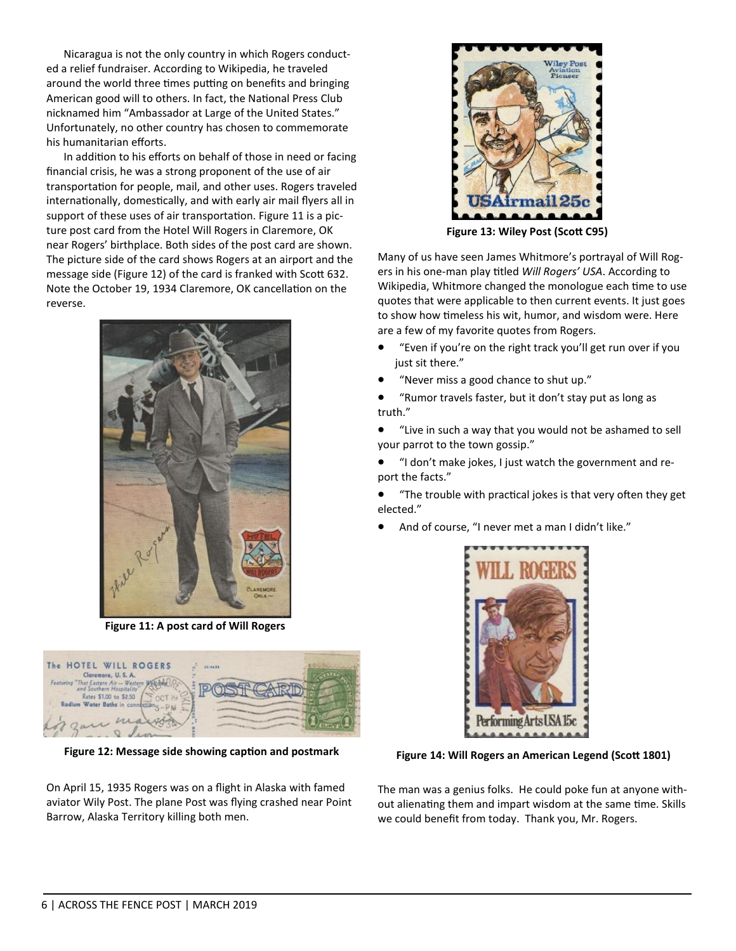Nicaragua is not the only country in which Rogers conducted a relief fundraiser. According to Wikipedia, he traveled around the world three times putting on benefits and bringing American good will to others. In fact, the National Press Club nicknamed him "Ambassador at Large of the United States." Unfortunately, no other country has chosen to commemorate his humanitarian efforts.

In addition to his efforts on behalf of those in need or facing financial crisis, he was a strong proponent of the use of air transportation for people, mail, and other uses. Rogers traveled internationally, domestically, and with early air mail flyers all in support of these uses of air transportation. Figure 11 is a picture post card from the Hotel Will Rogers in Claremore, OK near Rogers' birthplace. Both sides of the post card are shown. The picture side of the card shows Rogers at an airport and the message side (Figure 12) of the card is franked with Scott 632. Note the October 19, 1934 Claremore, OK cancellation on the reverse.



**Figure 11: A post card of Will Rogers**



**Figure 12: Message side showing caption and postmark**

On April 15, 1935 Rogers was on a flight in Alaska with famed aviator Wily Post. The plane Post was flying crashed near Point Barrow, Alaska Territory killing both men.



**Figure 13: Wiley Post (Scott C95)**

Many of us have seen James Whitmore's portrayal of Will Rogers in his one-man play titled *Will Rogers' USA*. According to Wikipedia, Whitmore changed the monologue each time to use quotes that were applicable to then current events. It just goes to show how timeless his wit, humor, and wisdom were. Here are a few of my favorite quotes from Rogers.

- "Even if you're on the right track you'll get run over if you just sit there."
- "Never miss a good chance to shut up."
- "Rumor travels faster, but it don't stay put as long as truth."
- "Live in such a way that you would not be ashamed to sell your parrot to the town gossip."
- "I don't make jokes, I just watch the government and report the facts."
- "The trouble with practical jokes is that very often they get elected."
- And of course, "I never met a man I didn't like."



**Figure 14: Will Rogers an American Legend (Scott 1801)**

The man was a genius folks. He could poke fun at anyone without alienating them and impart wisdom at the same time. Skills we could benefit from today. Thank you, Mr. Rogers.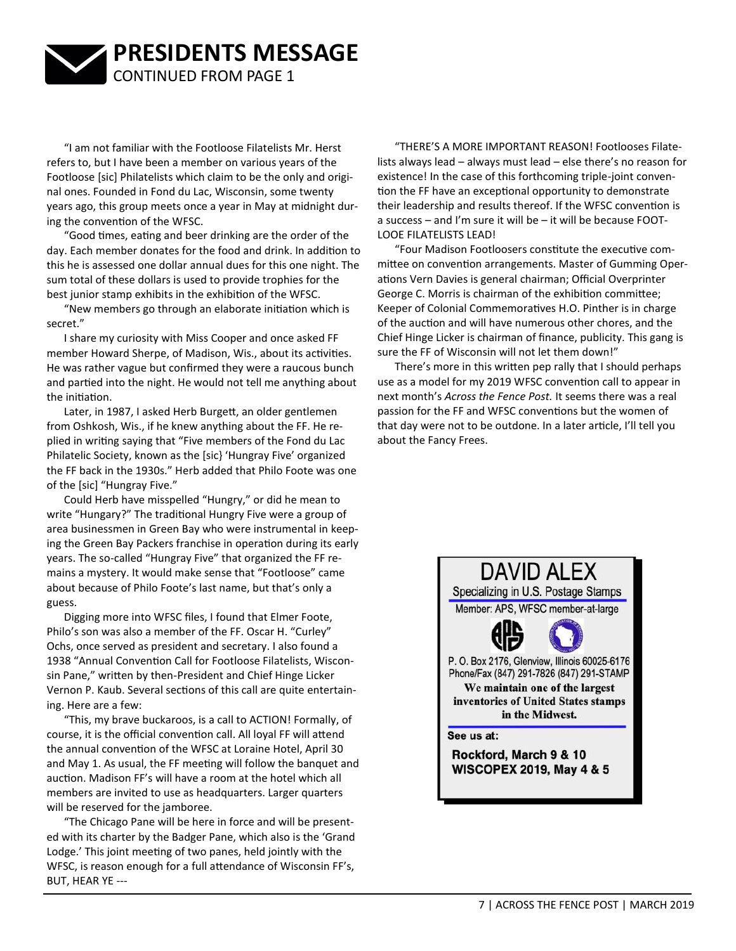

"I am not familiar with the Footloose Filatelists Mr. Herst refers to, but I have been a member on various years of the Footloose [sic] Philatelists which claim to be the only and original ones. Founded in Fond du Lac, Wisconsin, some twenty years ago, this group meets once a year in May at midnight during the convention of the WFSC.

"Good times, eating and beer drinking are the order of the day. Each member donates for the food and drink. In addition to this he is assessed one dollar annual dues for this one night. The sum total of these dollars is used to provide trophies for the best junior stamp exhibits in the exhibition of the WFSC.

"New members go through an elaborate initiation which is secret."

I share my curiosity with Miss Cooper and once asked FF member Howard Sherpe, of Madison, Wis., about its activities. He was rather vague but confirmed they were a raucous bunch and partied into the night. He would not tell me anything about the initiation.

Later, in 1987, I asked Herb Burgett, an older gentlemen from Oshkosh, Wis., if he knew anything about the FF. He replied in writing saying that "Five members of the Fond du Lac Philatelic Society, known as the [sic} 'Hungray Five' organized the FF back in the 1930s." Herb added that Philo Foote was one of the [sic] "Hungray Five."

Could Herb have misspelled "Hungry," or did he mean to write "Hungary?" The traditional Hungry Five were a group of area businessmen in Green Bay who were instrumental in keeping the Green Bay Packers franchise in operation during its early years. The so-called "Hungray Five" that organized the FF remains a mystery. It would make sense that "Footloose" came about because of Philo Foote's last name, but that's only a guess.

Digging more into WFSC files, I found that Elmer Foote, Philo's son was also a member of the FF. Oscar H. "Curley" Ochs, once served as president and secretary. I also found a 1938 "Annual Convention Call for Footloose Filatelists, Wisconsin Pane," written by then-President and Chief Hinge Licker Vernon P. Kaub. Several sections of this call are quite entertaining. Here are a few:

"This, my brave buckaroos, is a call to ACTION! Formally, of course, it is the official convention call. All loyal FF will attend the annual convention of the WFSC at Loraine Hotel, April 30 and May 1. As usual, the FF meeting will follow the banquet and auction. Madison FF's will have a room at the hotel which all members are invited to use as headquarters. Larger quarters will be reserved for the jamboree.

"The Chicago Pane will be here in force and will be presented with its charter by the Badger Pane, which also is the 'Grand Lodge.' This joint meeting of two panes, held jointly with the WFSC, is reason enough for a full attendance of Wisconsin FF's, BUT, HEAR YE ---

"THERE'S A MORE IMPORTANT REASON! Footlooses Filatelists always lead – always must lead – else there's no reason for existence! In the case of this forthcoming triple-joint convention the FF have an exceptional opportunity to demonstrate their leadership and results thereof. If the WFSC convention is a success – and I'm sure it will be – it will be because FOOT-LOOE FILATELISTS LEAD!

"Four Madison Footloosers constitute the executive committee on convention arrangements. Master of Gumming Operations Vern Davies is general chairman; Official Overprinter George C. Morris is chairman of the exhibition committee; Keeper of Colonial Commemoratives H.O. Pinther is in charge of the auction and will have numerous other chores, and the Chief Hinge Licker is chairman of finance, publicity. This gang is sure the FF of Wisconsin will not let them down!"

There's more in this written pep rally that I should perhaps use as a model for my 2019 WFSC convention call to appear in next month's *Across the Fence Post.* It seems there was a real passion for the FF and WFSC conventions but the women of that day were not to be outdone. In a later article, I'll tell you about the Fancy Frees.